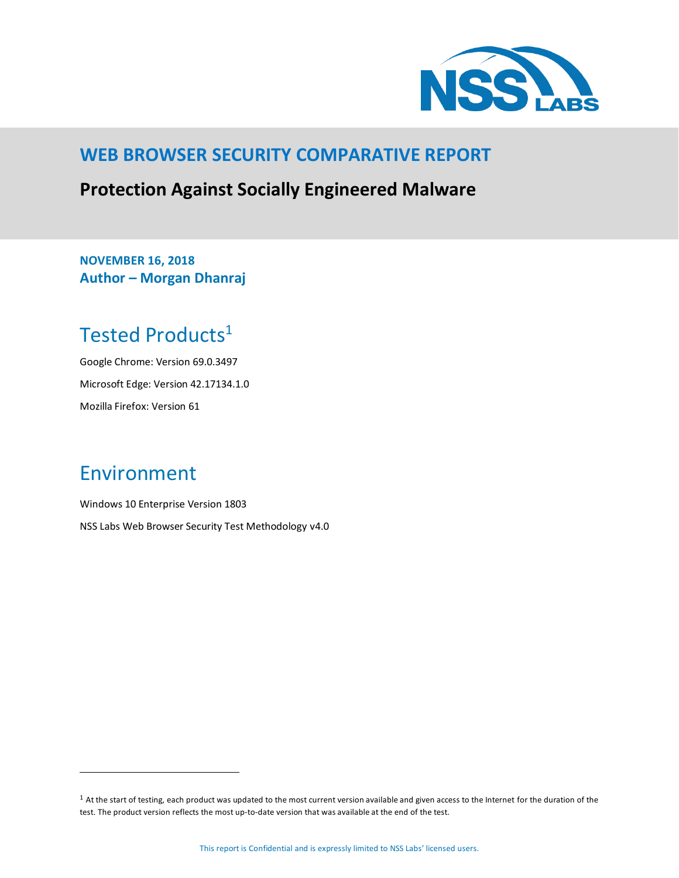

### **WEB BROWSER SECURITY COMPARATIVE REPORT**

### **Protection Against Socially Engineered Malware**

**NOVEMBER 16, 2018 Author – Morgan Dhanraj**

# <span id="page-0-0"></span>Tested Products<sup>1</sup>

Google Chrome: Version 69.0.3497 Microsoft Edge: Version 42.17134.1.0 Mozilla Firefox: Version 61

# <span id="page-0-1"></span>Environment

 $\overline{a}$ 

Windows 10 Enterprise Version 1803 NSS Labs Web Browser Security Test Methodology v4.0

<sup>&</sup>lt;sup>1</sup> At the start of testing, each product was updated to the most current version available and given access to the Internet for the duration of the test. The product version reflects the most up-to-date version that was available at the end of the test.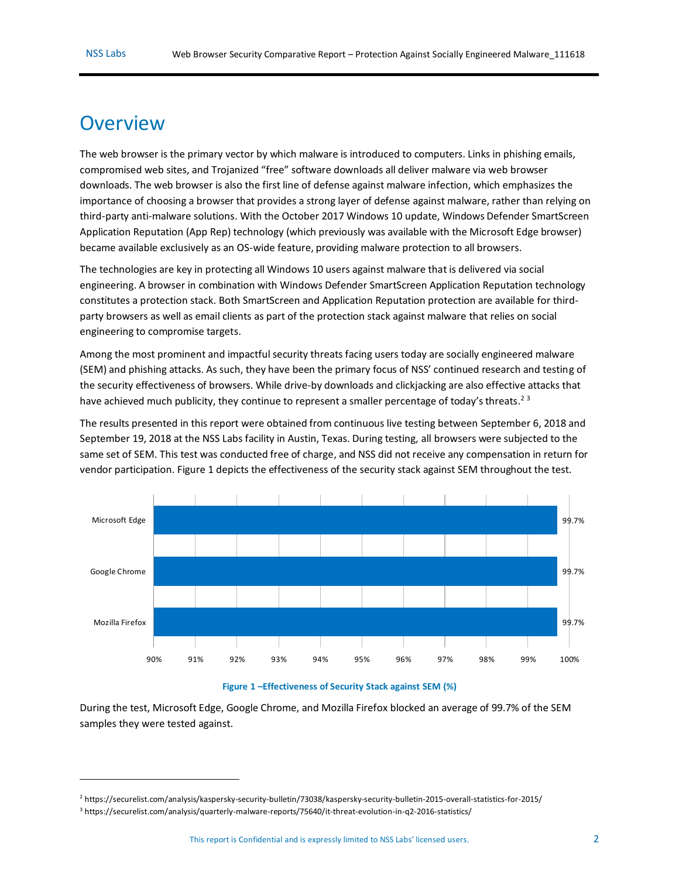$\overline{a}$ 

### <span id="page-1-1"></span>**Overview**

The web browser is the primary vector by which malware is introduced to computers. Links in phishing emails, compromised web sites, and Trojanized "free" software downloads all deliver malware via web browser downloads. The web browser is also the first line of defense against malware infection, which emphasizes the importance of choosing a browser that provides a strong layer of defense against malware, rather than relying on third-party anti-malware solutions. With the October 2017 Windows 10 update, Windows Defender SmartScreen Application Reputation (App Rep) technology (which previously was available with the Microsoft Edge browser) became available exclusively as an OS-wide feature, providing malware protection to all browsers.

The technologies are key in protecting all Windows 10 users against malware that is delivered via social engineering. A browser in combination with Windows Defender SmartScreen Application Reputation technology constitutes a protection stack. Both SmartScreen and Application Reputation protection are available for thirdparty browsers as well as email clients as part of the protection stack against malware that relies on social engineering to compromise targets.

Among the most prominent and impactful security threats facing users today are socially engineered malware (SEM) and phishing attacks. As such, they have been the primary focus of NSS' continued research and testing of the security effectiveness of browsers. While drive-by downloads and clickjacking are also effective attacks that have achieved much publicity, they continue to represent a smaller percentage of today's threats.<sup>23</sup>

The results presented in this report were obtained from continuous live testing between September 6, 2018 and September 19, 2018 at the NSS Labs facility in Austin, Texas. During testing, all browsers were subjected to the same set of SEM. This test was conducted free of charge, and NSS did not receive any compensation in return for vendor participation. [Figure 1](#page-1-0) depicts the effectiveness of the security stack against SEM throughout the test.



#### **Figure 1 –Effectiveness of Security Stack against SEM (%)**

<span id="page-1-0"></span>During the test, Microsoft Edge, Google Chrome, and Mozilla Firefox blocked an average of 99.7% of the SEM samples they were tested against.

<sup>2</sup> <https://securelist.com/analysis/kaspersky-security-bulletin/73038/kaspersky-security-bulletin-2015-overall-statistics-for-2015/>

<sup>3</sup> <https://securelist.com/analysis/quarterly-malware-reports/75640/it-threat-evolution-in-q2-2016-statistics/>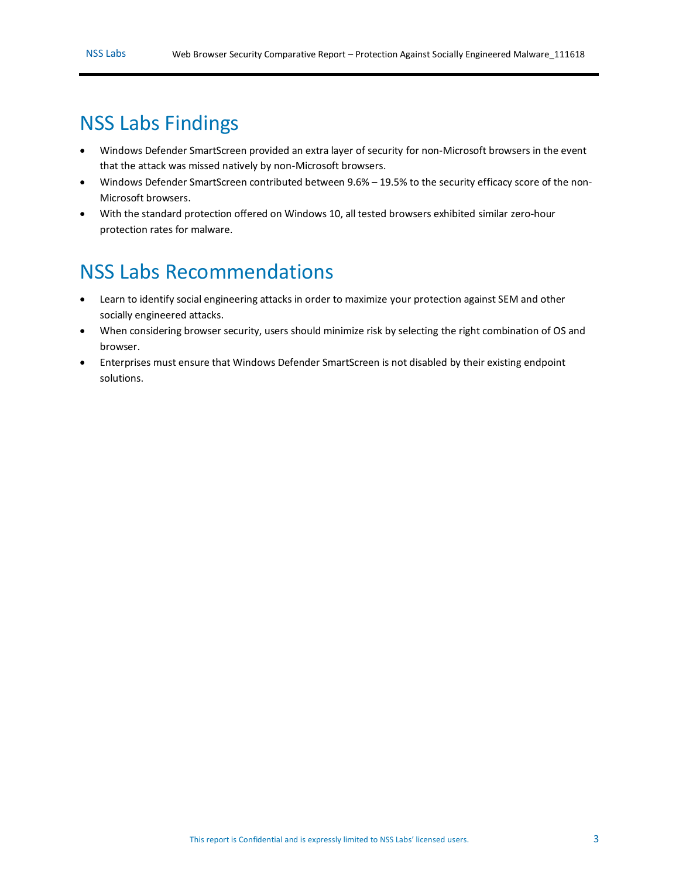# <span id="page-2-0"></span>NSS Labs Findings

- Windows Defender SmartScreen provided an extra layer of security for non-Microsoft browsers in the event that the attack was missed natively by non-Microsoft browsers.
- Windows Defender SmartScreen contributed between 9.6% 19.5% to the security efficacy score of the non-Microsoft browsers.
- With the standard protection offered on Windows 10, all tested browsers exhibited similar zero-hour protection rates for malware.

# <span id="page-2-1"></span>NSS Labs Recommendations

- Learn to identify social engineering attacks in order to maximize your protection against SEM and other socially engineered attacks.
- When considering browser security, users should minimize risk by selecting the right combination of OS and browser.
- Enterprises must ensure that Windows Defender SmartScreen is not disabled by their existing endpoint solutions.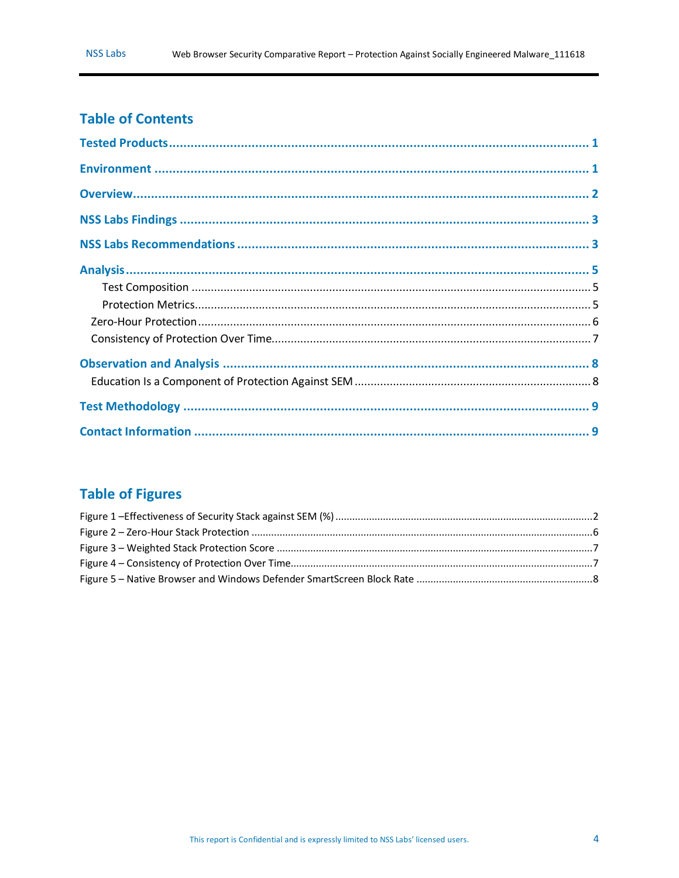### **Table of Contents**

### **Table of Figures**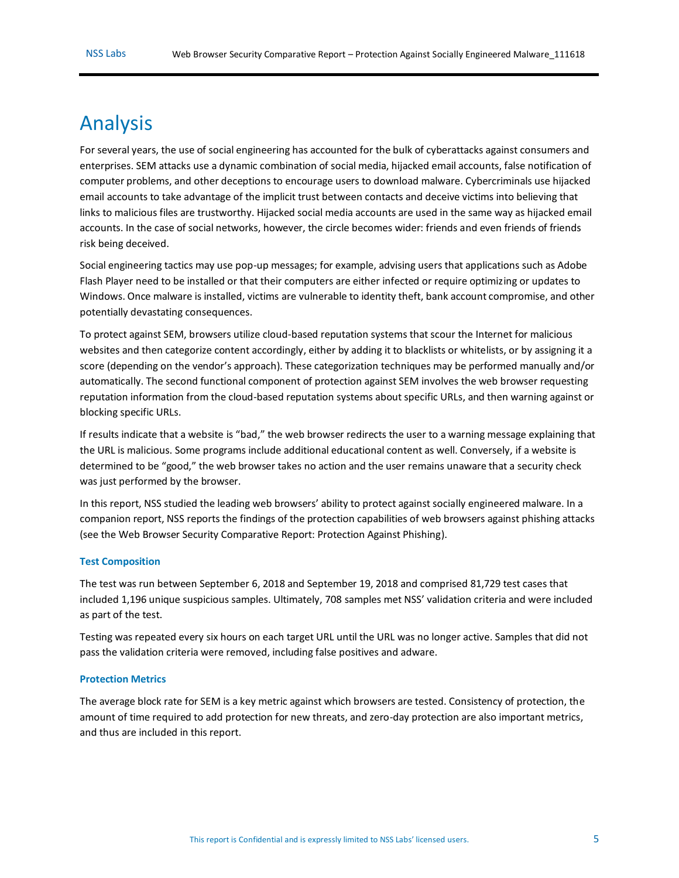# <span id="page-4-0"></span>Analysis

For several years, the use of social engineering has accounted for the bulk of cyberattacks against consumers and enterprises. SEM attacks use a dynamic combination of social media, hijacked email accounts, false notification of computer problems, and other deceptions to encourage users to download malware. Cybercriminals use hijacked email accounts to take advantage of the implicit trust between contacts and deceive victims into believing that links to malicious files are trustworthy. Hijacked social media accounts are used in the same way as hijacked email accounts. In the case of social networks, however, the circle becomes wider: friends and even friends of friends risk being deceived.

Social engineering tactics may use pop-up messages; for example, advising users that applications such as Adobe Flash Player need to be installed or that their computers are either infected or require optimizing or updates to Windows. Once malware is installed, victims are vulnerable to identity theft, bank account compromise, and other potentially devastating consequences.

To protect against SEM, browsers utilize cloud-based reputation systems that scour the Internet for malicious websites and then categorize content accordingly, either by adding it to blacklists or whitelists, or by assigning it a score (depending on the vendor's approach). These categorization techniques may be performed manually and/or automatically. The second functional component of protection against SEM involves the web browser requesting reputation information from the cloud-based reputation systems about specific URLs, and then warning against or blocking specific URLs.

If results indicate that a website is "bad," the web browser redirects the user to a warning message explaining that the URL is malicious. Some programs include additional educational content as well. Conversely, if a website is determined to be "good," the web browser takes no action and the user remains unaware that a security check was just performed by the browser.

In this report, NSS studied the leading web browsers' ability to protect against socially engineered malware. In a companion report, NSS reports the findings of the protection capabilities of web browsers against phishing attacks (see the Web Browser Security Comparative Report: Protection Against Phishing).

#### <span id="page-4-1"></span>**Test Composition**

The test was run between September 6, 2018 and September 19, 2018 and comprised 81,729 test cases that included 1,196 unique suspicious samples. Ultimately, 708 samples met NSS' validation criteria and were included as part of the test.

Testing was repeated every six hours on each target URL until the URL was no longer active. Samples that did not pass the validation criteria were removed, including false positives and adware.

#### <span id="page-4-2"></span>**Protection Metrics**

The average block rate for SEM is a key metric against which browsers are tested. Consistency of protection, the amount of time required to add protection for new threats, and zero-day protection are also important metrics, and thus are included in this report.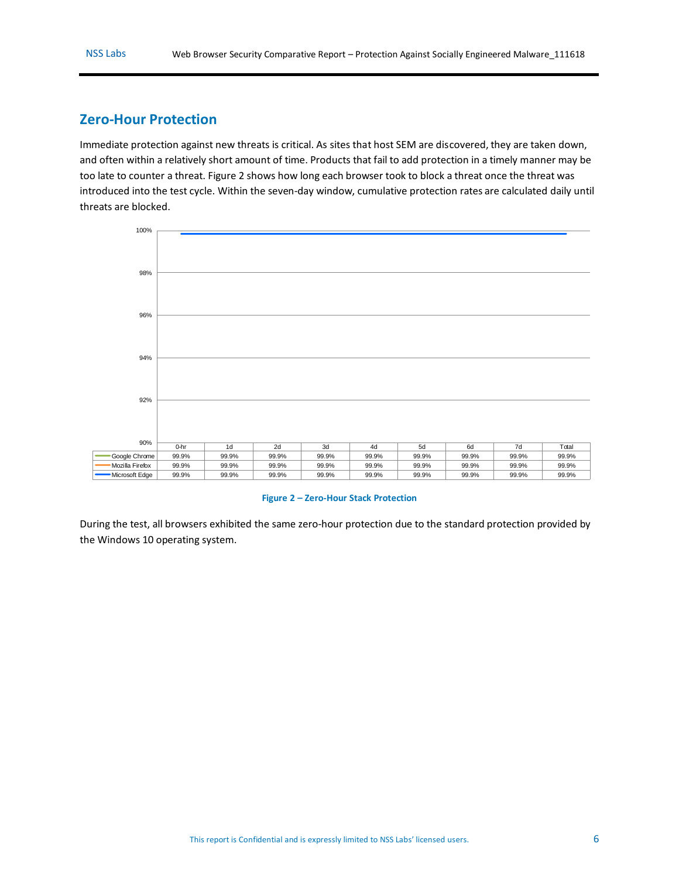### <span id="page-5-0"></span>**Zero-Hour Protection**

Immediate protection against new threats is critical. As sites that host SEM are discovered, they are taken down, and often within a relatively short amount of time. Products that fail to add protection in a timely manner may be too late to counter a threat. [Figure 2](#page-5-1) shows how long each browser took to block a threat once the threat was introduced into the test cycle. Within the seven-day window, cumulative protection rates are calculated daily until threats are blocked.



#### **Figure 2 – Zero-Hour Stack Protection**

<span id="page-5-1"></span>During the test, all browsers exhibited the same zero-hour protection due to the standard protection provided by the Windows 10 operating system.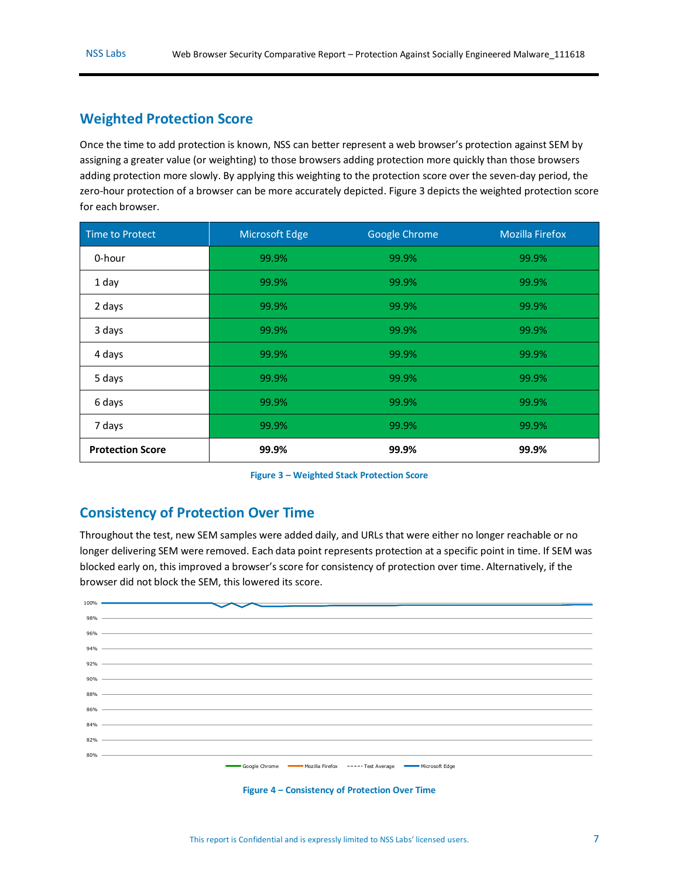### **Weighted Protection Score**

Once the time to add protection is known, NSS can better represent a web browser's protection against SEM by assigning a greater value (or weighting) to those browsers adding protection more quickly than those browsers adding protection more slowly. By applying this weighting to the protection score over the seven-day period, the zero-hour protection of a browser can be more accurately depicted[. Figure 3](#page-6-1) depicts the weighted protection score for each browser.

| Time to Protect         | Microsoft Edge | Google Chrome | <b>Mozilla Firefox</b> |
|-------------------------|----------------|---------------|------------------------|
| 0-hour                  | 99.9%          | 99.9%         | 99.9%                  |
| 1 day                   | 99.9%          | 99.9%         | 99.9%                  |
| 2 days                  | 99.9%          | 99.9%         | 99.9%                  |
| 3 days                  | 99.9%          | 99.9%         | 99.9%                  |
| 4 days                  | 99.9%          | 99.9%         | 99.9%                  |
| 5 days                  | 99.9%          | 99.9%         | 99.9%                  |
| 6 days                  | 99.9%          | 99.9%         | 99.9%                  |
| 7 days                  | 99.9%          | 99.9%         | 99.9%                  |
| <b>Protection Score</b> | 99.9%          | 99.9%         | 99.9%                  |

**Figure 3 – Weighted Stack Protection Score**

### <span id="page-6-1"></span><span id="page-6-0"></span>**Consistency of Protection Over Time**

Throughout the test, new SEM samples were added daily, and URLs that were either no longer reachable or no longer delivering SEM were removed. Each data point represents protection at a specific point in time. If SEM was blocked early on, this improved a browser's score for consistency of protection over time. Alternatively, if the browser did not block the SEM, this lowered its score.



<span id="page-6-2"></span>**Figure 4 – Consistency of Protection Over Time**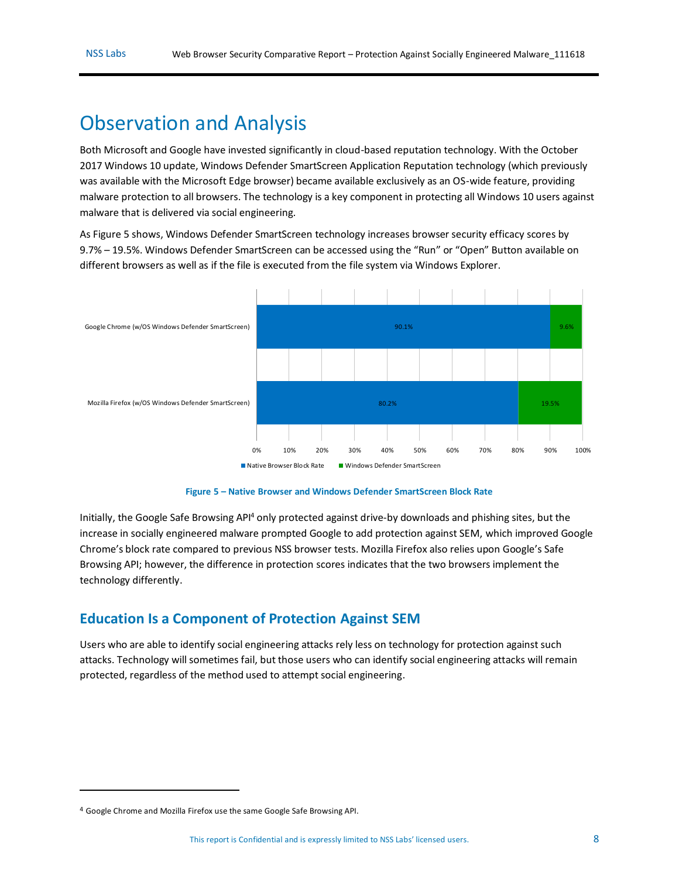## <span id="page-7-0"></span>Observation and Analysis

Both Microsoft and Google have invested significantly in cloud-based reputation technology. With the October 2017 Windows 10 update, Windows Defender SmartScreen Application Reputation technology (which previously was available with the Microsoft Edge browser) became available exclusively as an OS-wide feature, providing malware protection to all browsers. The technology is a key component in protecting all Windows 10 users against malware that is delivered via social engineering*.*

As [Figure 5](#page-7-2) shows, Windows Defender SmartScreen technology increases browser security efficacy scores by 9.7% – 19.5%. Windows Defender SmartScreen can be accessed using the "Run" or "Open" Button available on different browsers as well as if the file is executed from the file system via Windows Explorer.



**Figure 5 – Native Browser and Windows Defender SmartScreen Block Rate**

<span id="page-7-2"></span>Initially, the Google Safe Browsing API<sup>4</sup> only protected against drive-by downloads and phishing sites, but the increase in socially engineered malware prompted Google to add protection against SEM, which improved Google Chrome's block rate compared to previous NSS browser tests. Mozilla Firefox also relies upon Google's Safe Browsing API; however, the difference in protection scores indicates that the two browsers implement the technology differently.

### <span id="page-7-1"></span>**Education Is a Component of Protection Against SEM**

Users who are able to identify social engineering attacks rely less on technology for protection against such attacks. Technology will sometimes fail, but those users who can identify social engineering attacks will remain protected, regardless of the method used to attempt social engineering.

 $\overline{a}$ 

<sup>4</sup> Google Chrome and Mozilla Firefox use the same Google Safe Browsing API.